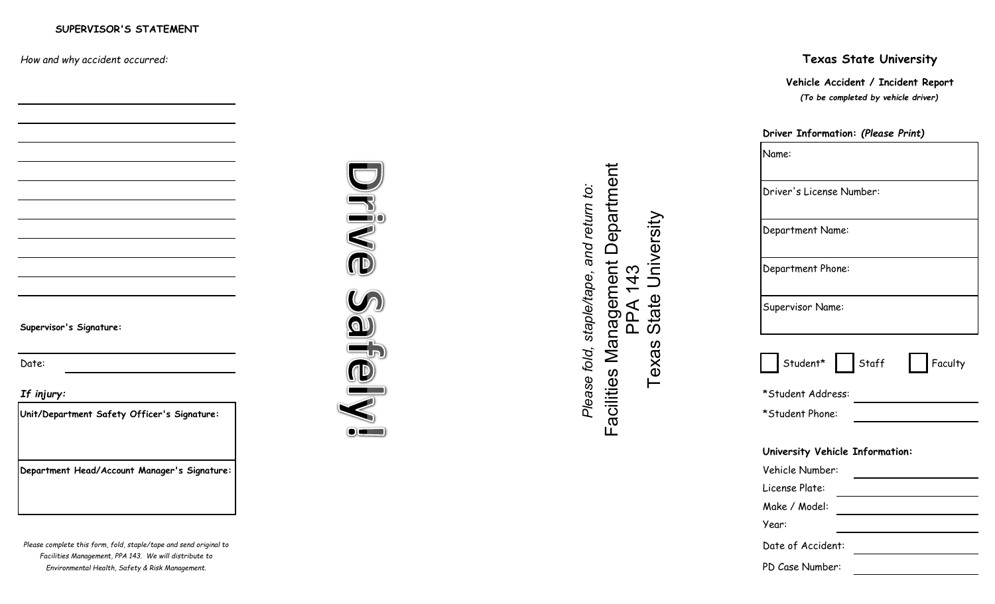*How and why accident occurred:*

**Supervisor's Signature:**

## **Texas State University**

*(To be completed by vehicle driver)* **Vehicle Accident / Incident Report**

## **Driver Information:** *(Please Print)* Name: Driver's License Number: Department Name: Department Phone: Supervisor Name: Supervisor": Signature:<br>
Supervisor": Signature:<br>
Date:<br>
Date:<br>
Date:<br>
Date:<br>
Date:<br>
Date:<br>
Date:<br>
Date:<br>
Date:<br>
Date:<br>
Date:<br>
Date:<br>
Date:<br>
Date:<br>
Date:<br>
Date:<br>
Date:<br>
Supervisor Name:<br>
Supervisor Name:<br>
Supervisor Name:<br> *If injury:* \*Student Address: **Unit/Department Safety Officer's Signature:** \*Student Phone: **University Vehicle Information: Department Head/Account Manager's Signature:** Vehicle Number: License Plate: Make / Model: Year: Date of Accident: PD Case Number:

 $\mathbf{P}^{\mathbf{0}}$ (ID 56

Department Facilities Management Department *Please fold, staple/tape, and return to:* Texas State UniversityUniversity က PPA 143  $\frac{4}{4}$ State PPA ທ



 $\bullet$  and  $\bullet$ 

*Please complete this form, fold, staple/tape and send original to Facilities Management, PPA 143. We will distribute to Environmental Health, Safety & Risk Management.*